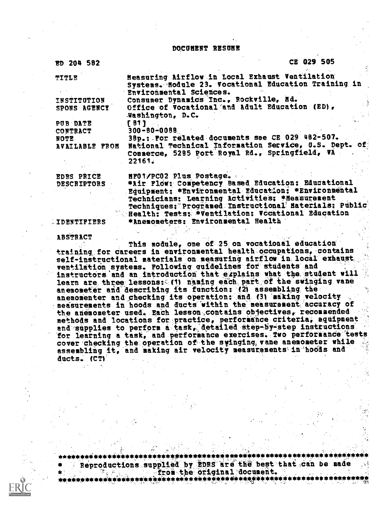DOCUMENT RESUME

ED 204 582 CE 029 505

| <b>TITLE</b>       | Measuring Airflow in Local Exhaust Ventilation            |
|--------------------|-----------------------------------------------------------|
|                    | Systems. Module 23. Vocational Education Training in      |
|                    | Environmental Sciences.                                   |
| INSTITUTION        | Consumer Dynamics Inc., Rockville, Hd.                    |
| SPONS AGENCY       | Office of Vocational and Adult Education (ED).            |
|                    | Washington, D.C.                                          |
|                    |                                                           |
| PUB DATE           | [81]                                                      |
| <b>CONTRACT</b>    | $300 - 80 - 0088$                                         |
| NOTE               | 38p.: For related documents see CE 029 482-507.           |
| AVAILABLE FROM     | National Technical Information Service, U.S. Dept. of     |
|                    | Commerce, 5285 Port Royal Rd., Springfield, VA            |
|                    | 22161.                                                    |
|                    |                                                           |
| <b>EDRS PRICE</b>  | HFO1/PCO2 Plus Postage.                                   |
| <b>DESCRIPTORS</b> | *Air Flow: Competency Based Education: Educational        |
|                    | Equipment: *Environmental Education: *Environmental       |
|                    | Technicians: Learning Activities: *Measurement            |
|                    | Techniques: Programed Instructional Materials: Public     |
|                    | <b>Example: Tests: *Ventilation: Vecational Education</b> |
|                    |                                                           |
| <b>IDENTIFIERS</b> | *Anemometers: Environmental Health                        |
|                    |                                                           |

ABSTRACT

This module, one of 25 on vocational education training for careers in environmental health occupations, contains self-instructional materials on: measuring airflow in, local' exhaust ventilation systems. Following quidelines for students and instructors and an introduction that explains what the student will learn are three lessons: (1) naming each part of the swinging vane anemometer and describing its function: (2) assembling the anemomenter and checking its operation: and (3) making velocity measurements in hoods and ducts within the measurement accuracy of the anemometer used. Each lesson contains objectives, recommended methods and locations for practice, performance criteria, equipment and supplies to perform a task, detailed step-by-step instructions. for learning a task, and performance exercises. Two performance tests cover checking the operation of the syinging vane anemometer while assembling it, and making air velocity measurements in hoods and ducts. (CT)



\*\*\*\*\*\*\*\*\*\*\*\*\*\*\*41\*\*\*\*\*\*\*\*\*\*\*\*\*\*\*\*\*\*\*\*\*\*\*\*\*\*\*\*\*\*\*\*\*\*\*\*\*i\*\*\*\*\*\*\*\*\*\*\*\*\*i ,: -1m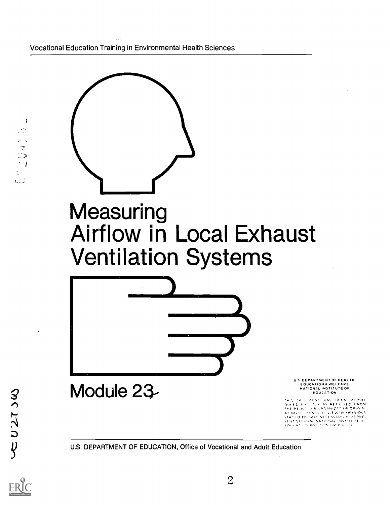Vocational Education Training in Environmental Health Sciences



<sup>U</sup> <sup>S</sup> DEPARTMENT OF HEALTH EOUCATION & WELFARE NATIONAL INSTITUTE OF EDUCATION

OU 7, 200 - MENT - HAS - HEEN - REPRO<br>DUCED : EXTCTLY - AS IRECEIVED - FROM<br>THE PERST - OR ORGANIZATION ORIGIN THE PERS - OR ORGANIZATION ORIGIN<br>ATING IT PO NOT NECESSARILY REPRIDUS<br>STATED DO NOT NECESSARILY REPRE<br>SENTOFFICA, NATIONAL NSTITUTE OF

U.S. DEPARTMENT OF EDUCATION, Office of Vocational and Adult Education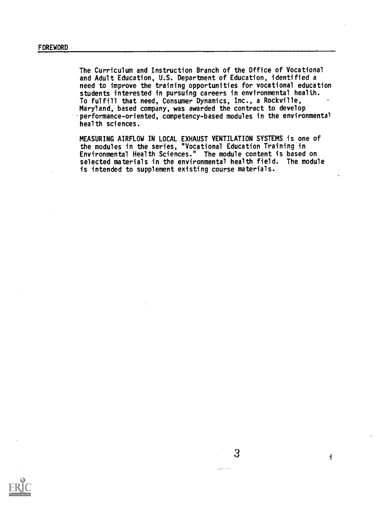The Curriculum and Instruction Branch of the Office of Vocational and Adult Education, U.S. Department of Education, identified a need to improve the training opportunities for vocational education students interested in pursuing careers in environmental health. To fulfill that need, Consumer Dynamics, Inc., a Rockville, Maryland, based company, was awarded the contract to develop performance-oriented, competency-based modules in the environmental health sciences.

MEASURING AIRFLOW IN LOCAL EXHAUST VENTILATION SYSTEMS is one of the modules in the series, "Vocational Education Training in Environmental Health Sciences." The module content is based on selected materials in the environmental health field. The module is intended to supplement existing course materials.



 $\omega_{\rm{eff}}^{\rm{1.11}}$  cm is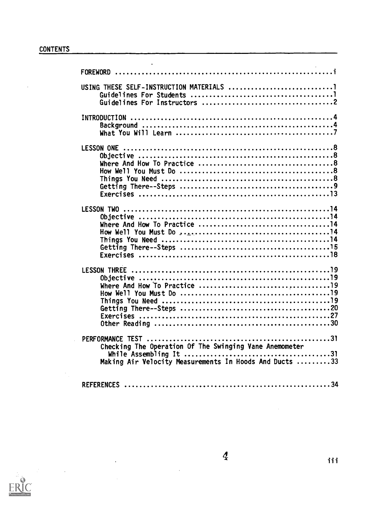$\ddot{\phantom{a}}$ 

 $\cdot$ 

 $\frac{1}{\sqrt{2}}$ 

 $\bar{\omega}$ 

| PERFORMANCE TEST<br>.                                  |
|--------------------------------------------------------|
| Checking The Operation Of The Swinging Vane Anemometer |
|                                                        |
| Making Air Velocity Measurements In Hoods And Ducts 33 |
|                                                        |
| <b>REFERENCES</b>                                      |
|                                                        |



 $\sim$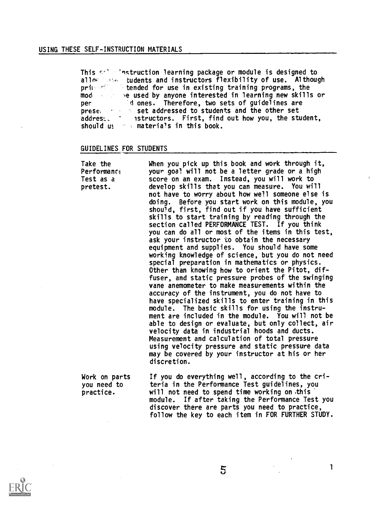This selection learning package or module is designed to nung seba allow we tudents and instructors flexibility of use. Although<br>primed% - tended for use in existing training programs, the mod, the used by anyone interested in learning new skills or the model of the used by anyone interest of  $\sim$ per prese, addrest.\_ should m materials in this book. tended for use in existing training programs, the d ones. Therefore, two sets of guidelines are set addressed to students and the other set Istructors. First, find out how you, the student,

## GUIDELINES FOR STUDENTS

| Take the<br>Performance<br>Test as a<br>pretest. | When you pick up this book and work through it,<br>your goa! will not be a letter grade or a high<br>score on an exam. Instead, you will work to<br>develop skills that you can measure. You will<br>not have to worry about how we'll someone else is<br>doing. Before you start work on this module, you<br>should, first, find out if you have sufficient<br>skills to start training by reading through the<br>section called PERFORMANCE TEST. If you think<br>you can do all or most of the items in this test,<br>ask your instructor to obtain the necessary<br>equipment and supplies. You should have some<br>working knowledge of science, but you do not need<br>special preparation in mathematics or physics.<br>Other than knowing how to orient the Pitot, dif-<br>fuser, and static pressure probes of the swinging<br>vane anemometer to make measurements within the<br>accuracy of the instrument, you do not have to<br>have specialized skills to enter training in this<br>module. The basic skills for using the instru-<br>ment are included in the module. You will not be<br>able to design or evaluate, but only collect, air<br>velocity data in industrial hoods and ducts.<br>Measurement and calculation of total pressure<br>using velocity pressure and static pressure data<br>may be covered by your instructor at his or her<br>discretion. |
|--------------------------------------------------|----------------------------------------------------------------------------------------------------------------------------------------------------------------------------------------------------------------------------------------------------------------------------------------------------------------------------------------------------------------------------------------------------------------------------------------------------------------------------------------------------------------------------------------------------------------------------------------------------------------------------------------------------------------------------------------------------------------------------------------------------------------------------------------------------------------------------------------------------------------------------------------------------------------------------------------------------------------------------------------------------------------------------------------------------------------------------------------------------------------------------------------------------------------------------------------------------------------------------------------------------------------------------------------------------------------------------------------------------------------------------------|
| Work on parts<br>you need to<br>practice.        | If you do everything well, according to the cri-<br>teria in the Performance Test guidelines, you<br>will not need to spend time working on this<br>module. If after taking the Performance Test you<br>discover there are parts you need to practice,                                                                                                                                                                                                                                                                                                                                                                                                                                                                                                                                                                                                                                                                                                                                                                                                                                                                                                                                                                                                                                                                                                                           |



follow the key to each item in FOR FURTHER STUDY.

1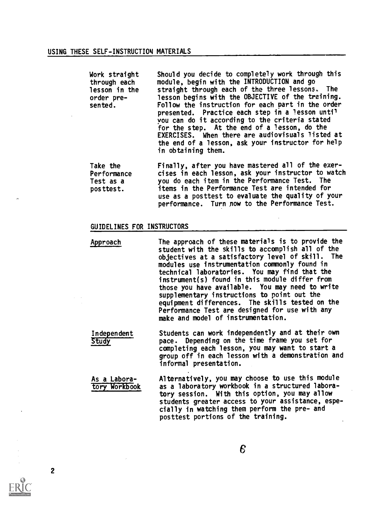| Work straight<br>through each<br>lesson in the<br>order pre-<br>sented. | Should you decide to completely work through this<br>module, begin with the INTRODUCTION and go<br>straight through each of the three lessons. The<br>lesson begins with the OBJECTIVE of the training.<br>Follow the instruction for each part in the order<br>presented. Practice each step in a lesson until<br>you can do it according to the criteria stated<br>for the step. At the end of a lesson, do the<br>EXERCISES. When there are audiovisuals listed at<br>the end of a lesson, ask your instructor for help<br>in obtaining them. |
|-------------------------------------------------------------------------|--------------------------------------------------------------------------------------------------------------------------------------------------------------------------------------------------------------------------------------------------------------------------------------------------------------------------------------------------------------------------------------------------------------------------------------------------------------------------------------------------------------------------------------------------|
| Take the                                                                | Finally, after you have mastered all of the exer-                                                                                                                                                                                                                                                                                                                                                                                                                                                                                                |
| Performance                                                             | cises in each lesson, ask your instructor to watch                                                                                                                                                                                                                                                                                                                                                                                                                                                                                               |
| Test as a                                                               | you do each item in the Performance Test. The                                                                                                                                                                                                                                                                                                                                                                                                                                                                                                    |
| posttest.                                                               | items in the Performance Test are intended for                                                                                                                                                                                                                                                                                                                                                                                                                                                                                                   |

use as a posttest to evaluate the quality of your performance. Turn now to the Performance Test.

# GUIDELINES FOR INSTRUCTORS

Approach The approach of these materials is to provide the student with the skills to accomplish all of the objectives at a satisfactory level of skill. The modules use instrumentation commonly found in technical laboratories. You may find that the instrument(s) found in this module differ from those you have available. You may need to write supplementary instructions to point out the equipment differences. The skills tested on the Performance Test are designed for use with any make and model of instrumentation.

Independent Students can work independently and at their own<br>Study bace. Depending on the time frame you set for pace. Depending on the time frame you set for completing each lesson, you may want to start a group off in each lesson with a demonstration and informal presentation.

As a Labora-<br>
The Alternatively, you may choose to use this module<br>
tory Workbook as a laboratory workbook in a structured laboraas a laboratory workbook in a structured laboratory session. With this option, you may allow students greater access to your assistance, especially in watching them perform the pre- and posttest portions of the training.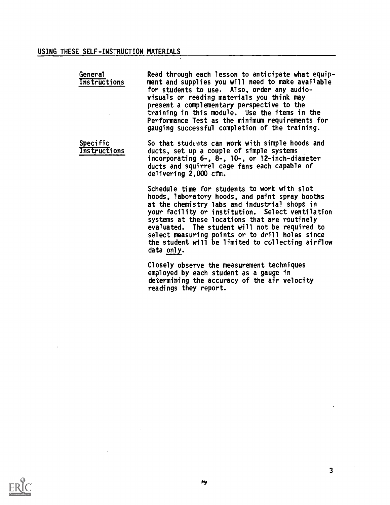# USING THESE SELF-INSTRUCTION MATERIALS

| General<br>Instructions         | Read through each lesson to anticipate what equip-<br>ment and supplies you will need to make available<br>for students to use. A!so, order any audio-<br>visuals or reading materials you think may<br>present a complementary perspective to the<br>training in this module. Use the items in the<br>Performance Test as the minimum requirements for<br>gauging successful completion of the training. |  |
|---------------------------------|-----------------------------------------------------------------------------------------------------------------------------------------------------------------------------------------------------------------------------------------------------------------------------------------------------------------------------------------------------------------------------------------------------------|--|
| <b>Specific</b><br>Instructions | So that students can work with simple hoods and<br>ducts, set up a couple of simple systems<br>incorporating 6-, 8-, 10-, or 12-inch-diameter<br>ducts and squirrel cage fans each capable of<br>delivering 2,000 cfm.                                                                                                                                                                                    |  |
|                                 | Schedule time for students to work with slot<br>hoods, laboratory hoods, and paint spray booths<br>at the chemistry labs and industria! shops in<br>your facility or institution. Select ventilation                                                                                                                                                                                                      |  |

data only.

readings they report.

systems at these locations that are routinely

evaluated. The student will not be required to select measuring points or to drill holes since the student will be limited to collecting airflow

Closely observe the measurement techniques employed by each student as a gauge in

determining the accuracy of the air velocity



3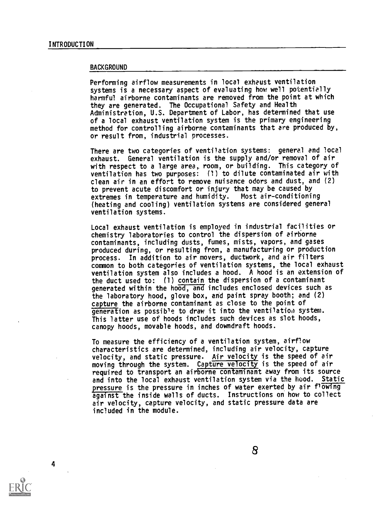#### BACKGROUND

Performing airflow measurements in local exhaust ventilation systems is a necessary aspect of evaluating how well potentially harmful airborne contaminants are removed from the point at which they are generated. The Occupational Safety and Health Administration, U.S. Department of Labor, has determined that use of a local exhaust ventilation system is the primary engineering method for controlling airborne contaminants that are produced by, or result from, industrial processes.

There are two categories of ventilation systems: general and local exhaust. General ventilation is the supply and/or removal of air with respect to a large area, room, or building. This category of ventilation has two purposes: (1) to dilute contaminated air with clean air in an effort to remove nuisance odors and dust, and (2) to prevent acute discomfort or injury that may be caused by<br>extremes in temperature and humidity. Most air-conditioning extremes in temperature and humidity. (heating and cooling) ventilation systems are considered general ventilation systems.

Local exhaust ventilation is employed in industrial facilities or chemistry laboratories to control the dispersion of airborne contaminants, including dusts, fumes, mists, vapors, and gases produced during, or resulting from, a manufacturing or production process. In addition to air movers, ductwork, and air filters common to both categories of ventilation systems, the local exhaust ventilation system also includes a hood. A hood is an extension of the duct used to: (1) contain the dispersion of a contaminant generated within the hood, and includes enclosed devices such as the laboratory hood, glove box, and paint spray booth; and (2) capture the airborne contaminant as close to the point of generation as possible to draw it into the ventilatioa system. This latter use of hoods includes such devices as slot hoods, canopy hoods, movable hoods, and downdraft hoods.

To measure the efficiency of a ventilation system, airflow characteristics are determined, including air velocity, capture velocity, and static pressure. Air velocity is the speed of air moving through the system. Capture velocity is the speed of air required to transport an airborne contaminant away from its source and into the local exhaust ventilation system via the hood. Static pressure is the pressure in inches of water exerted by air flowing against the inside walls of ducts. Instructions on how to collect air velocity, capture velocity, and static pressure data are included in the module.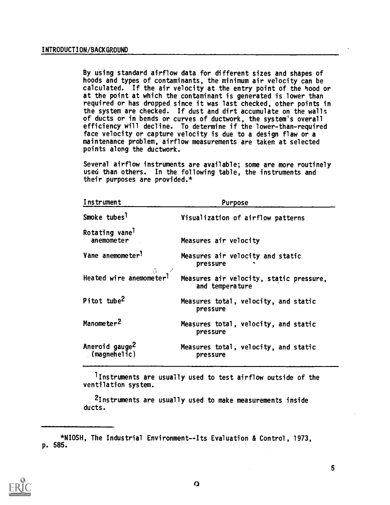By using standard airflow data for different sizes and shapes of hoods and types of contaminants, the minimum air velocity can be calculated. If the air velocity at the entry point of the hood or at the point at which the contaminant is generated is lower than required or has dropped since it was last checked, other points in the system are checked. If dust and dirt accumulate on the walls of ducts or in bends or curves of ductwork, the system's overall efficiency will decline. To determine if the lower-than-required face velocity or capture velocity is due to a design flaw or a maintenance problem, airflow measurements are taken at selected points along the ductwork.

Several airflow instruments are available; some are more routinely used than others. In the following table, the instruments and their purposes are provided.\*

| Instrument                                            | Purpose                                                    |
|-------------------------------------------------------|------------------------------------------------------------|
| Smoke tubes <sup>1</sup>                              | Visualization of airflow patterns                          |
| Rotating vane <sup>1</sup><br>anemometer              | Measures air velocity                                      |
| Vane anemometer <sup>?</sup>                          | Measures air velocity and static<br>pressure               |
| $\theta$ Heated wire anemometer <sup>1</sup>          | Measures air velocity, static pressure,<br>and temperature |
| Pitot tube <sup>2</sup>                               | Measures total, velocity, and static<br>pressure           |
| Manometer <sup>2</sup>                                | Measures total, velocity, and static<br>pressure           |
| Aneroid gauge <sup>Z</sup><br>$\mathsf{[magnehelic]}$ | Measures total, velocity, and static<br>pressure           |

)Instruments are usually used to test airflow outside of the ventilation system.

2Instruments are usually used to make measurements inside ducts.



<sup>\*</sup>NIOSH, The Industrial Environment--Its Evaluation & Control, 1973, p. 585.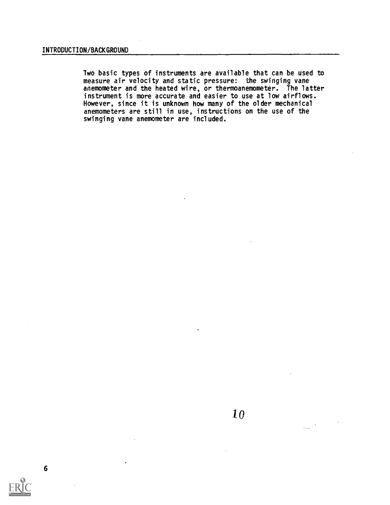6

Two basic types of instruments are available that can be used to measure air velocity and static pressure: the swinging vane anemometer and the heated wire, or thermoanemometer. The latter instrument is more accurate and easier to use at low airflows. However, since it is unknown how many of the older mechanical anemometers are still in use, instructions on the use of the swinging vane anemometer are included.

بتدائين

 $\frac{1}{\log n}$  .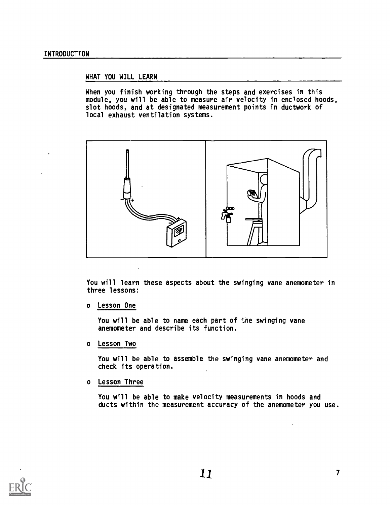# WHAT YOU WILL LEARN

When you finish working through the steps and exercises in this module, you will be able to measure air velocity in enclosed hoods, slot hoods, and at designated measurement points in ductwork of local exhaust ventilation systems.



You will learn these aspects about the swinging vane anemometer in three lessons:

o Lesson One

You will be able to name each part of the swinging vane anemometer and describe its function.

o Lesson Two

You will be able to assemble the swinging vane anemometer and check its operation.

o Lesson Three

You will be able to make velocity measurements in hoods and ducts within the measurement accuracy of the anemometer you use.

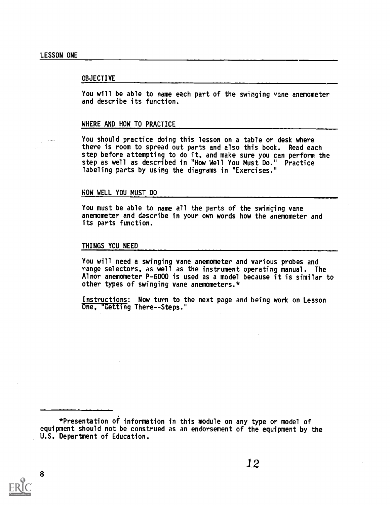#### OBJECTIVE

You will be able to name each part of the swinging vane anemometer and describe its function.

#### WHERE AND HOW TO PRACTICE

You should practice doing this lesson on a table or desk where there is room to spread out parts and also this book. Read each step before attempting to do it, and make sure you can perform the step as well as described in "How Well You Must Do." Practice labeling parts by using the diagrams in "Exercises."

#### HOW WELL YOU MUST DO

You must be able to name all the parts of the swinging vane anemometer and describe in your own words how the anemometer and its parts function.

#### THINGS YOU NEED

You will need a swinging vane anemometer and various probes and range selectors, as well as the instrument operating manual. The Alnor anemometer P-6000 is used as a model because it is similar to other types of swinging vane anemometers.\*

Instructions: Now turn to the next page and being work on Lesson One, "Getting There -- Steps."

\*Presentation of information in this module on any type or model of equipment should not be construed as an endorsement of the equipment by the U.S. Department of Education.



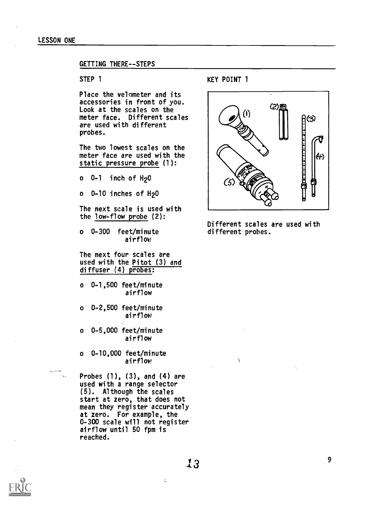#### LESSON ONE

## GETTING THERE--STEPS

Place the velometer and its accessories in front of you. Look at the scales on the meter face. Different scales are used with different probes.

The two lowest scales on the meter face are used with the static pressure probe (1):

 $o$   $0-1$  inch of  $H<sub>2</sub>0$ 

 $o$  0-10 inches of  $H<sub>2</sub>O$ 

The next scale is used with the low-flow probe (2):

o 0-300 feet/minute airflow

The next four scales are used with the Pitot (3) and diffuser (4) probes:

o 0-1,500 feet/minute airflow

o 0-2,500 feet/minute airflow

o 0-5,000 feet/minute airflow

o 0-10,000 feet/minute airflow

Probes (1), (3), and (4) are used with a range selector (5). Although the scales start at zero, that does not mean they register accurately at zero. For example, the 0-300 scale will not register airflow until 50 fpm is reached.

# STEP 1 KEY POINT 1



Different scales are used with different probes.

Ń,



**Warnt** 

 $\ddot{\mathcal{L}}$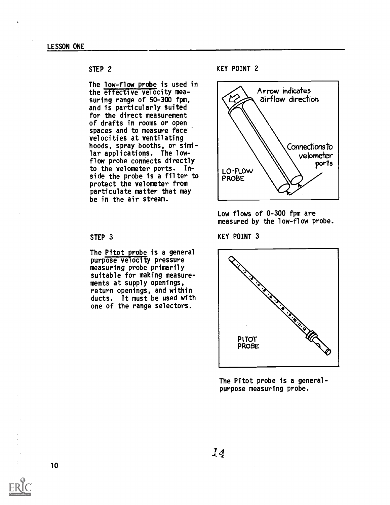The low-flow probe is used in the effective velocity measuring range of 50-300 fpm, and is particularly suited for the direct measurement of drafts in rooms or open spaces and to measure face velocities at ventilating hoods, spray booths, or similar applications. The lowflow probe connects directly to the velometer ports. Into the velometer ports. In-<br>side the probe is a filter to PROBE protect the velometer from particulate matter that may be in the air stream.

#### STEP 3

The Pitot probe is a general purpose velocity pressure measuring probe primarily suitable for making measurements at supply openings, return openings, and within ducts. It must be used with one of the range selectors.

KEY POINT 2



Low flows of 0-300 fpm are measured by the low-flow probe.

KEY POINT 3



The Pitot probe is a generalpurpose measuring probe.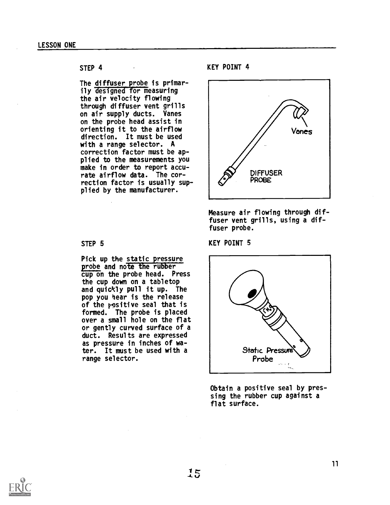The diffuser probe is primarily designed for measuring the air velocity flowing through diffuser vent grills on air supply ducts. Vanes on the probe head assist in orienting it to the airflow direction. It must be used with a range selector. A correction factor must be applied to the measurements you make in order to report accurate airflow data. The correction factor is usually supplied by the manufacturer.

# STEP<sub>5</sub>

Pick up the static pressure probe and note the rubber cup on the probe head. Press the cup down on a tabletop and quickly pull it up. The pop you hear is the release of the vositive seal that is formed. The probe is placed over a small hole on the flat or gently curved surface of a duct. Results are expressed as pressure in inches of water. It must be used with a range selector.

## KEY POINT 4



Measure air flowing through diffuser vent grills, using a diffuser probe.

KEY POINT 5



Obtain a positive seal by pressing the rubber cup against a flat surface.

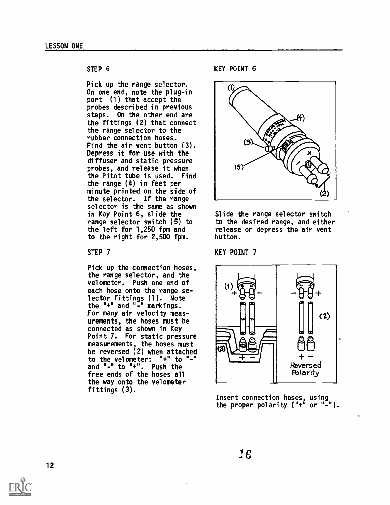Pick up the range selector. On one end, note the plug-in port (1) that accept the probes described in previous steps. On the other end are the fittings (2) that connect the range selector to the rubber connection hoses. Find the air vent button (3). Depress it for use with the diffuser and static pressure probes, and release it when the Pitot tube is used. Find the range (4) in feet per minute printed on the side of the selector. If the range selector is the same as shown in Key Point 6, slide the range selector switch (5) to the left for 1,250 fpm and to the right for 2,500 fpm.

#### STEP 7

Pick up the connection hoses, the range selector, and the velometer. Push one end of each hose onto the range selector fittings (1). Note the "+" and " $-\overline{ }$ " markings. For many air velocity measurements, the hoses must be connected as shown in Key Point 7. For static pressure measurements, the hoses must be reversed (2) when attached to the velometer:  $"+"$  to  $"-"$ and "-" to "+". Push the free ends of the hoses all the way onto the velometer fittings (3).

KEY POINT 6



Slide the range selector switch to the desired range, and either release or depress the air vent button.

#### KEY POINT 7



Insert connection hoses, using the proper polarity ("+" or "-").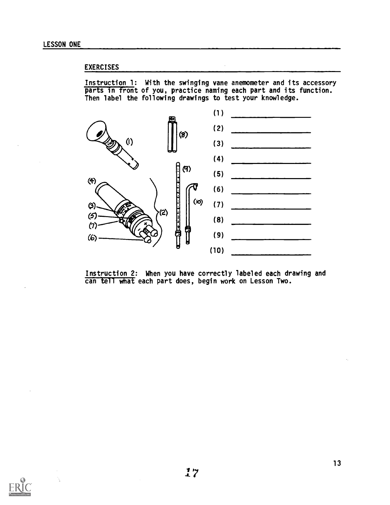# EXERCISES

Instruction 1: With the swinging vane anemometer and its accessory parts in front of you, practice naming each part and its function. Then label the following drawings to test your knowledge.



Instruction 2: When you have correctly labeled each drawing and can tell what each part does, begin work on Lesson Two.

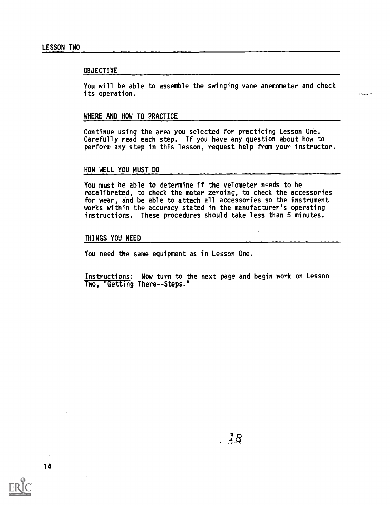#### OBJECTIVE

You will be able to assemble the swinging vane anemometer and check its operation.

in begynning

#### WHERE AND HOW TO PRACTICE

Continue using the area you selected for practicing Lesson One. Carefully read each step. If you have any question about how to perform any step in this lesson, request help from your instructor.

#### HOW WELL YOU MUST DO

You must be able to determine if the velometer needs to be recalibrated, to check the meter zeroing, to check the accessories for wear, and be able to attach all accessories so the instrument works within the accuracy stated in the manufacturer's operating instructions. These procedures should take less than 5 minutes.

#### THINGS YOU NEED

You need the same equipment as in Lesson One.

Instructions: Now turn to the next page and begin work on Lesson Two, "Getting There--Steps."

14

 $\mathcal{L} \in \mathcal{L}^{\infty}$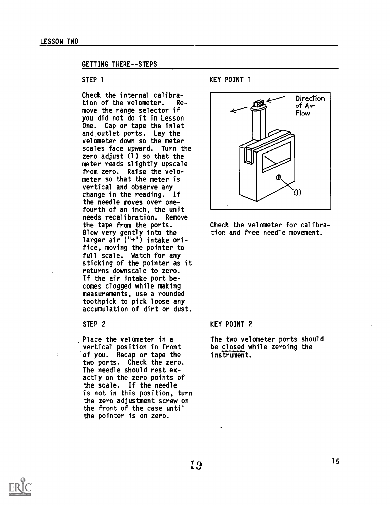#### GETTING THERE--STEPS

## STEP 1

Check the internal calibration of the velometer. Remove the range selector if you did not do it in Lesson One. Cap or tape the inlet and outlet ports. Lay the velometer down so the meter scales face upward. Turn the zero adjust (1) so that the meter reads slightly upscale from zero. Raise the velometer so that the meter is vertical and observe any change in the reading. If the needle moves over onefourth of an inch, the unit needs recalibration. Remove the tape from the ports. Blow very gently into the larger air ("+") intake orifice, moving the pointer to full scale. Watch for any sticking of the pointer as it returns downscale to zero. If the air intake port becomes clogged while making measurements, use a rounded toothpick to pick loose any accumulation of dirt or dust.

#### STEP 2

Place the velometer in a vertical position in front be closed w<br>of you. Recap or tape the instrument. of you. Recap or tape the two ports. Check the zero. The needle should rest exactly on the zero points of the scale. If the needle is not in this position, turn the zero adjustment screw on the front of the case until the pointer is on zero.

KEY POINT 1



Check the velometer for calibration and free needle movement.

## KEY POINT 2

The two velometer ports should be closed while zeroing the

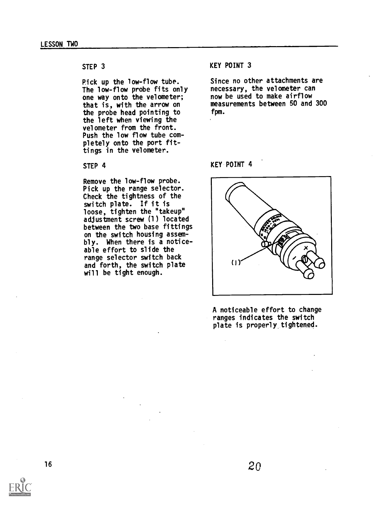Pick up the low-flow tube. The low-flow probe fits only one way onto the velometer; that is, with the arrow on the probe head pointing to the left when viewing the velometer from the front. Push the low flow tube completely onto the port fittings in the velometer.

## STEP 4

Remove the low-flow probe. Pick up the range selector. Check the tightness of the switch plate. If it is loose, tighten the "takeup" adjustment screw (1) located between the two base fittings on the switch housing assembly. When there is a noticeable effort to slide the range selector switch back and forth, the switch plate will be tight enough.

# KEY POINT 3

Since no other attachments are necessary, the velometer can now be used to make airflow measurements between 50 and 300 fpm.

### KEY POINT 4



A noticeable effort to change ranges indicates the switch plate is properly tightened.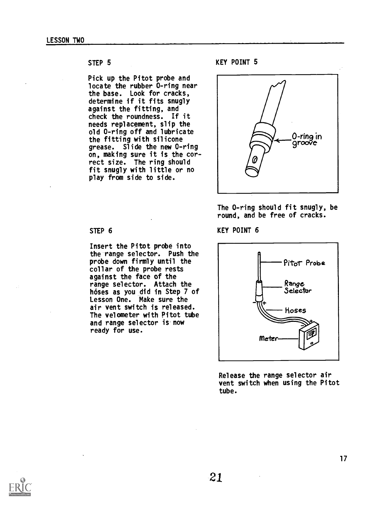# STEP<sub>5</sub>

Pick up the Pitot probe and locate the rubber 0-ring near the base. Look for cracks, determine if it fits snugly against the fitting, and check the roundness. If it needs replacement, slip the old 0-ring off and lubricate the fitting with silicone grease. Slide the new 0-ring on, making sure it is the correct size. The ring should fit snugly with little or no play from side to side.

# KEY POINT 5



The 0-ring should fit snugly, be round, and be free of cracks.

KEY POINT 6



Release the range selector air vent switch when using the Pitot tube.

# STEP 6

Insert the Pitot probe into the range selector. Push the probe down firmly until the collar of the probe rests against the face of the range selector. Attach the hoses as you did in Step 7 of Lesson One. Make sure the air vent switch is released. The velometer with Pitot tube and range selector is now ready for use.

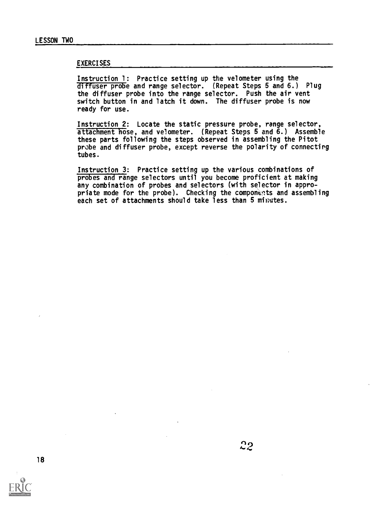## **EXERCISES**

Instruction 1: Practice setting up the velometer using the diffuser probe and range selector. (Repeat Steps 5 and 6.) Plug the diffuser probe into the range selector. Push the air vent switch button in and latch it down. The diffuser probe is now ready for use.

Instruction 2: Locate the static pressure probe, range selector, attachment hose, and velometer. (Repeat Steps 5 and 6.) Assemble these parts following the steps observed in assembling the Pitot probe and diffuser probe, except reverse the polarity of connecting tubes.

Instruction 3: Practice setting up the various combinations of probes and range selectors until you become proficient at making any combination of probes and selectors (with selector in appropriate mode for the probe). Checking the components and assembling each set of attachments should take less than 5 minutes.

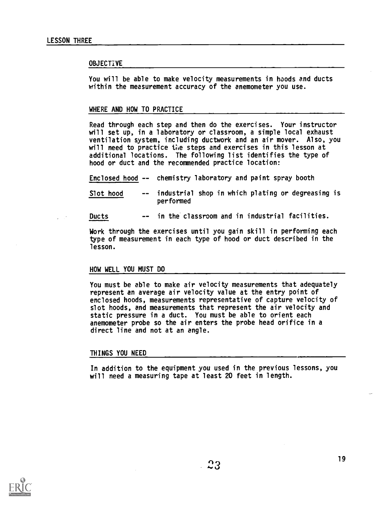#### **OBJECTIVE**

You will be able to make velocity measurements in hoods and ducts within the measurement accuracy of the anemometer you use.

#### WHERE AND HOW TO PRACTICE

Read through each step and then do the exercises. Your instructor will set up, in a laboratory or classroom, a simple local exhaust ventilation system, including ductwork and an air mover. Also, you will need to practice the steps and exercises in this lesson at additional locations. The following list identifies the type of hood or duct and the recommended practice location:

Enclosed hood -- chemistry laboratory and paint spray booth

Slot hood -- industrial shop in which plating or degreasing is performed

Ducts -- in the classroom and in industrial facilities.

Work through the exercises until you gain skill in performing each type of measurement in each type of hood or duct described in the lesson.

#### HOW WELL YOU MUST DO

You must be able to make air velocity measurements that adequately represent an average air velocity value at the entry point of enclosed hoods, measurements representative of capture velocity of slot hoods, and measurements that represent the air velocity and static pressure in a duct. You must be able to orient each anemometer probe so the air enters the probe head orifice in a direct line and not at an angle.

#### THINGS YOU NEED

In addition to the equipment you used in the previous lessons, you will need a measuring tape at least 20 feet in length.

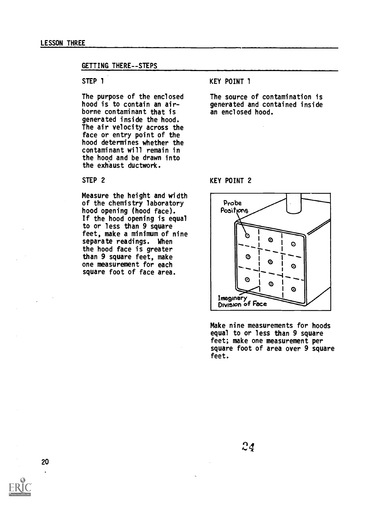### LESSON THREE

#### GETTING THERE--STEPS

# STEP 1

The purpose of the enclosed hood is to contain an airborne contaminant that is generated inside the hood. The air velocity across the face or entry point of the hood determines whether the contaminant will remain in the hood and be drawn into the exhaust ductwork.

STEP 2

Measure the height and width of the chemistry laboratory hood opening (hood face). If the hood opening is equal to or less than 9 square feet, make a minimum of nine separate readings. When the hood face is greater than 9 square feet, make one measurement for each square foot of face area.

# KEY POINT 1

The source of contamination is generated and contained inside an enclosed hood.

# KEY POINT 2



Make nine measurements for hoods equal to or less than 9 square feet; make one measurement per square foot of area over 9 square feet.

20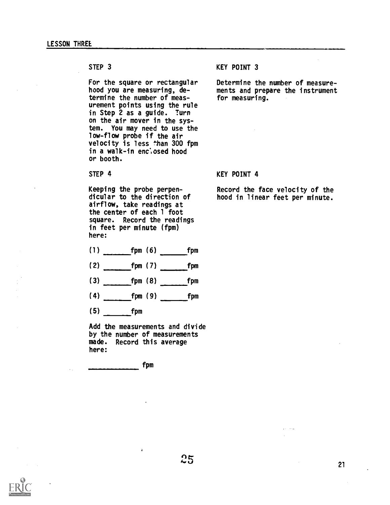For the square or rectangular hood you are measuring, determine the number of measurement points using the rule in Step 2 as a guide. Turn on the air mover in the system. You may need to use the low-flow probe if the air velocity is less than 300 fpm in a walk-in enclosed hood or booth.

STEP 4

Keeping the probe perpendicular to the direction of airflow, take readings at the center of each 1 foot square. Record the readings in feet per minute (fpm) here:

- (1) fpm (6) fpm
- $(2)$  fpm  $(7)$  fpm
- $(3)$  fpm  $(8)$  fpm
- $(4)$  fpm  $(9)$  fpm  $f$ pm
- $(5)$  fpm

\_\_\_\_\_\_\_\_\_\_\_\_\_

Add the measurements and divide by the number of measurements made. Record this average here:

fpm

# KEY POINT 3

Determine the number of measurements and prepare the instrument for measuring.

#### KEY POINT 4

Record the face velocity of the hood in linear feet per minute.

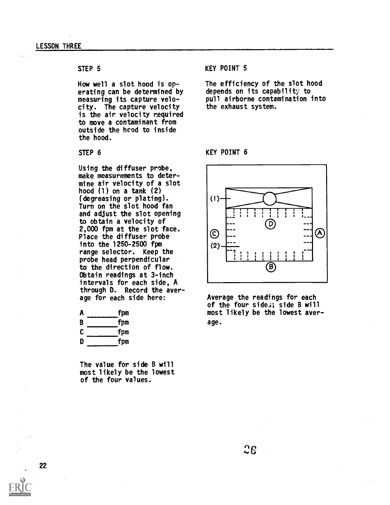# STEP<sub>5</sub>

How well a slot hood is operating can be determined by measuring its capture velocity. The capture velocity is the air velocity required to move a contaminant from outside the hcod to inside the hood.

# STEP<sub>6</sub>

Using the diffuser probe, make measurements to determine air velocity of a slot hood  $(1)$  on a tank  $(2)$ (degreasing or plating). Turn on the slot hood fan and adjust the slot opening to obtain a velocity of 2,000 fpm at the slot face.  $\bigcirc$ <br>Place the diffuser probe Place the diffuser probe into the 1250-2500 fpm range selector. Keep the probe head perpendicular to the direction of flow. Obtain readings at 3-inch intervals for each side, A through D. Record the average for each side here:

| A | fpm      |
|---|----------|
| B | fpm      |
| C | fpm<br>٠ |
| D | fpm      |

The value for side B will most likely be the lowest of the four values.

KEY POINT 5

The efficiency of the slot hood depends on its capability to pull airborne contamination into the exhaust system.

# KEY POINT 6



Average the readings for each of the four sides; side B will most likely be the lowest average.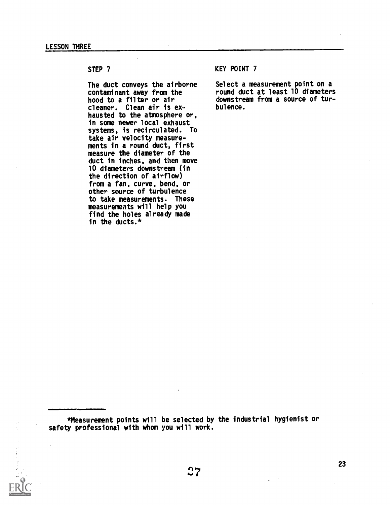The duct conveys the airborne contaminant away from the hood to a filter or air cleaner. Clean air is exhausted to the atmosphere or, in some newer local exhaust systems, is recirculated. To take air velocity measurements in a round duct, first measure the diameter of the duct in inches, and then move 10 diameters downstream (in the direction of airflow) from a fan, curve, bend, or other source of turbulence to take measurements. These measurements will help you find the holes already made in the ducts.\*

# KEY POINT 7

Select a measurement point on a round duct at least 10 diameters downstream from a source of turbulence.

\*Measurement points will be selected by the industrial hygienist or safety professional with whom you will work.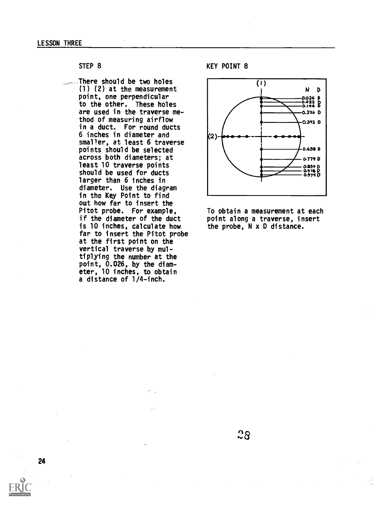.--- There should be two holes (1) (2) at the measurement point, one perpendicular to the other. These holes are used in the traverse method of measuring airflow in a duct. For round ducts 6 inches in diameter and smaller, at least 6 traverse points should be selected across both diameters; at least 10 traverse points should be used for ducts larger than 6 inches in diameter. Use the diagram in the Key Point to find out how far to insert the Pitot probe. For example, if the diameter of the duct is 10 inches, calculate how far to insert the Pitot probe at the first point on the vertical traverse by multiplying the number at the point, 0.026, by the diameter, 10 inches, to obtain a distance of 1/4-inch.

KEY POINT 8



To obtain a measurement at each point along a traverse, insert the probe, N x D distance.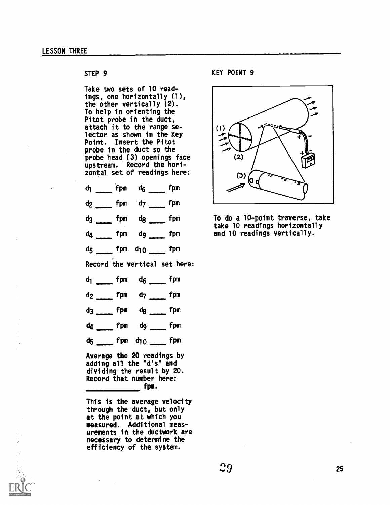Take two sets of 10 readings, one horizontally (1), the other vertically (2). To help in orienting the Pitot probe in the duct, attach it to the range selector as shown in the Key Point. Insert the Pitot probe in the duct so the probe head (3) openings face upstream. Record the horizontal set of readings here:

|                |  | $d_1$ fpm $d_6$ fpm            |  |
|----------------|--|--------------------------------|--|
| d <sub>2</sub> |  | $f_{\text{pmm}}$ fpm $d_7$ fpm |  |

 $dg$  fpm  $dg$  fpm

d<sub>4</sub> fpm d<sub>9</sub> fpm

d<sub>5</sub> fpm d<sub>10</sub> fpm

Record the vertical set here:

| $d_1$ $\qquad \qquad$ fpm $d_6$ $\qquad \qquad$ fpm |
|-----------------------------------------------------|
| $d_2 \quad \text{fpm} \quad d_7 \quad \text{fpm}$   |
| $dg$ <sub>_____</sub> fpm $dg$ <sub>_____</sub> fpm |
| $d_4$ fpm $d_9$ fpm                                 |
| d5 ____ fpm d10 ____ fpm                            |
|                                                     |

Average the 20 readings by adding all the "d's" and dividing the result by 20. Record that number here: fpm.

This is the average velocity through the duct, but only at the point at which you measured. Additional measurements in the ductwork are necessary to determine the efficiency of the system.

STEP 9 KEY POINT 9



To do a 10-point traverse, take take 10 readings horizontally and 10 readings vertically.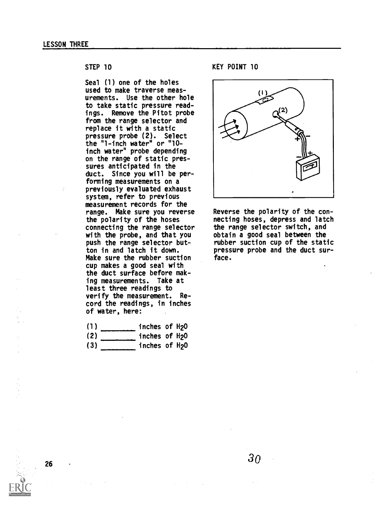Seal (1) one of the holes used to make traverse measurements. Use the other hole to take static pressure readings. Remove the Pitot probe from the range selector and replace it with a static pressure probe (2). Select the "1-inch water" or "10 inch water" probe depending on the range of static pressures anticipated in the duct. Since you will be performing measurements on a previously evaluated exhaust system, refer to previous measurement records for the range. Make sure you reverse the polarity of the hoses connecting the range selector with the probe, and that you push the range selector button in and latch it down. Make sure the rubber suction cup makes a good seal with the duct surface before making measurements. Take at least three readings to verify the measurement. Record the readings, in inches of water, here:

- $\begin{array}{ccc} \begin{array}{ccc} \end{array} \end{array}$  $(2)$ inches of H2O inches of H2O
- (3) inches of H2O

KEY POINT 10



Reverse the polarity of the connecting hoses, depress and latch the range selector switch, and obtain a good seal between the rubber suction cup of the static pressure probe and the duct surface.

3o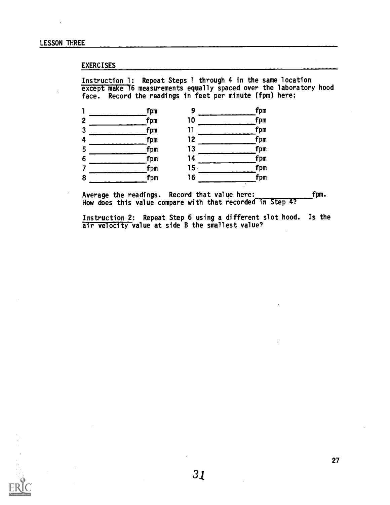# EXERCISES

Instruction 1: Repeat Steps 1 through 4 in the same location except make 16 measurements equally spaced over the laboratory hood face. Record the readings in feet per minute (fpm) here:



Average the readings. Record that value here: fpm. How does this value compare with that recorded in Step 4?

Instruction 2: Repeat Step 6 using a different slot hood. Is the air velocity value at side B the smallest value?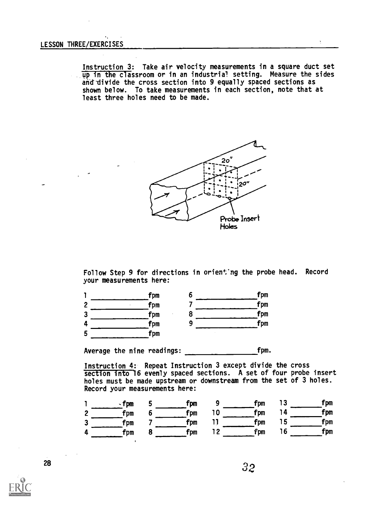Instruction 3: Take air velocity measurements in a square duct set up in the classroom or in an industrial setting. Measure the sides and divide the cross section into 9 equally spaced sections as shown below. To take measurements in each section, note that at least three holes need to be made.



Follow Step 9 for directions in orient'ng the probe head. Record your measurements here:

|   | fpm<br>o | fpm |
|---|----------|-----|
| 2 | fpm      | fpm |
| 3 | fpm<br>о | fpm |
| 4 | fpm      | fpm |
| 5 | fpm      |     |

Average the nine readings: fpm.

Instruction 4: Repeat Instruction 3 except divide the cross section into 16 evenly spaced sections. A set of four probe insert holes must be made upstream or downstream from the set of 3 holes. Record your measurements here:

|         | <b>fpm</b> | fpm        | fpm | fpm        |
|---------|------------|------------|-----|------------|
| ົ       | Fpm        | <b>fpm</b> | fpm | <b>fpm</b> |
| $\cdot$ | Fpm        | fpm        | fpm | <b>Fpm</b> |
| л       | Fpm        | fpm        | fpm | fpm        |

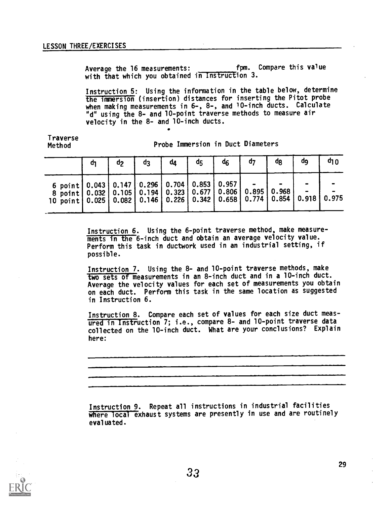Average the 16 measurements: fpm. Compare this value with that which you obtained in Instruction 3.

Instruction 5: Using the information in the table below, determine the immersion (insertion) distances for inserting the Pitot probe when making measurements in 6-, 8-, and 10-inch ducts. Calculate "d" using the 8- and 10-point traverse methods to measure air velocity in the 8- and 10-inch ducts.

Traverse Method

Probe Immersion in Duct Diameters

|                                                                                                                                                                                                                                    | đ٦ | ዐን | d3 | đΔ | d5 | ሳ6 | በን | dg | ao | <b>a1 v</b> |
|------------------------------------------------------------------------------------------------------------------------------------------------------------------------------------------------------------------------------------|----|----|----|----|----|----|----|----|----|-------------|
| 6 point   0.043   0.147   0.296   0.704   0.853   0.957  <br>8 point   0.032   0.105   0.194   0.323   0.677   0.806   0.895   0.968  <br>10 point   0.025   0.082   0.146   0.226   0.342   0.658   0.774   0.854   0.918   0.975 |    |    |    |    |    |    |    |    |    |             |

Instruction 6. Using the 6-point traverse method, make measure ments in the 6-inch duct and obtain an average velocity value. Perform this task in ductwork used in an industrial setting, if possible.

Instruction 7. Using the 8- and 10-point traverse methods, make two sets of measurements in an 8-inch duct and in a 10-inch duct. Average the velocity values for each set of measurements you obtain on each duct. Perform this task in the same location as suggested in Instruction 6.

Instruction 8. Compare each set of values for each size duct measured in Instruction 7; i.e., compare 8- and 10-point traverse data collected on the 10-inch duct. What are your conclusions? Explain here:

Instruction 9. Repeat all instructions in industrial facilities where local exhaust systems are presently in use and are routinely evaluated.

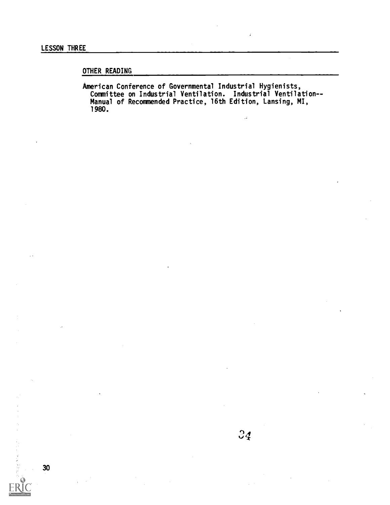# OTHER READING

American Conference of Governmental Industrial Hygienists, Committee on Industrial Ventilation. Industrial Ventilation- - Manual of Recommended Practice, 16th Edition, Lansing, MI, 1980.

J.

医三角形 计二进程 网络新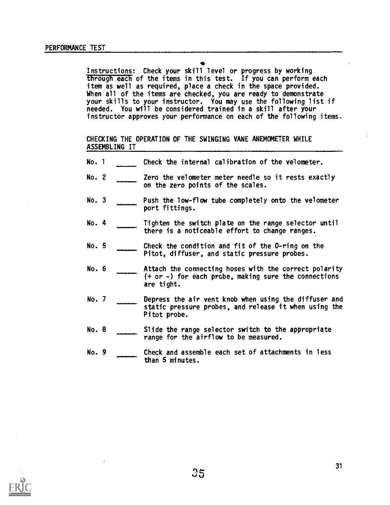Instructions: Check your skill level or progress by working through each of the items in this test. If you can perform each item as well as required, place a check in the space provided. When all of the items are checked, you are ready to demonstrate your skills to your instructor. You may use the following list if needed. You will be considered trained in a skill after your instructor approves your performance on each of the following items.

CHECKING THE OPERATION OF THE SWINGING VANE ANEMOMETER WHILE ASSEMBLING IT

- No. <sup>1</sup> Check the internal calibration of the velometer.
- No. 2 **Example 2** Zero the velometer meter needle so it rests exactly on the zero points of the scales.
- No. 3 Push the low-flow tube completely onto the velometer port fittings.
- No. 4 Tighten the switch plate on the range selector until there is a noticeable effort to change ranges.
- No. 5 Check the condition and fit of the 0-ring on the Pitot, diffuser, and static pressure probes.
- No. 6 **Attach the connecting hoses with the correct polarity**  $(+ or -)$  for each probe, making sure the connections are tight.
- No. 7 Depress the air vent knob when using the diffuser and static pressure probes, and release it when using the Pitot probe.
- No. 8 Slide the range selector switch to the appropriate range for the airflow to be measured.
- No. 9 Check and assemble each set of attachments in less than 5 minutes.

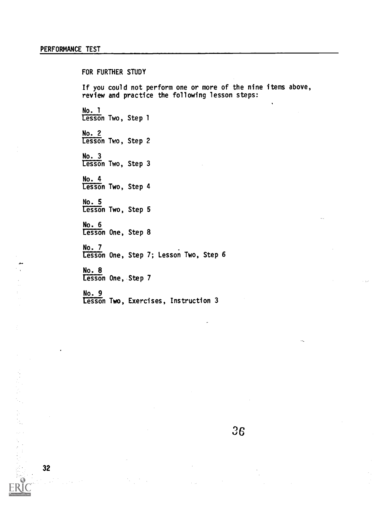FOR FURTHER STUDY If you could not perform one or more of the nine items above, review and practice the following lesson steps: No. 1 Lesson Two, Step 1 No. 2 Lesson Two, Step 2 No. 3 Lesson Two, Step 3 No. 4 Lesson Two, Step 4 No. 5 Lesson Two, Step 5 No. 6 Lesson One, Step 8 No. 7 Lesson One, Step /; Lesson Iwo, Step 6 No. 8 Lesson One, Step 7 No. 9

Lesson Two, Exercises, Instruction 3

32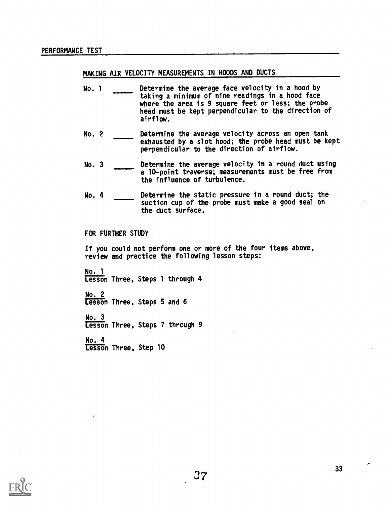# MAKING AIR VELOCITY MEASUREMENTS IN HOODS AND DUCTS

- No. 1 Determine the average face velocity in a hood by taking a minimum of nine readings in a hood face where the area is 9 square feet or less; the probe head must be kept perpendicular to the direction of airflow.
- No. 2 Determine the average velocity across an open tank exhausted by a slot hood; the probe head must be kept perpendicular to the direction of airflow.
- No. 3 Determine the average velocity in a round duct using a 10-point traverse; measurements must be free from the influence of turbulence.
- No. 4 Determine the static pressure in a round duct; the suction cup of the probe must make a good seal on the duct surface.

## FOR FURTHER STUDY

If you could not perform one or more of the four items above, review and practice the following lesson steps:

No. 1 Lesson Three, Steps 1 through 4

No. 2 Lesson Three, Steps 5 and 6

No. 3 Lesson Three, Steps 7 through 9

No. 4 Lesson Three, Step 10